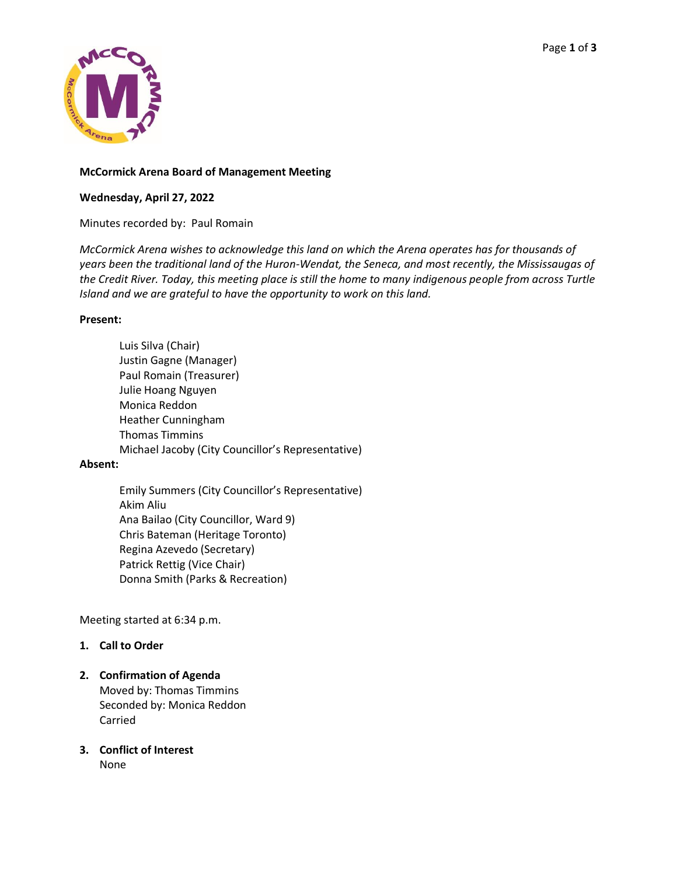

### **McCormick Arena Board of Management Meeting**

# **Wednesday, April 27, 2022**

Minutes recorded by: Paul Romain

*McCormick Arena wishes to acknowledge this land on which the Arena operates has for thousands of years been the traditional land of the Huron-Wendat, the Seneca, and most recently, the Mississaugas of the Credit River. Today, this meeting place is still the home to many indigenous people from across Turtle Island and we are grateful to have the opportunity to work on this land.*

### **Present:**

Luis Silva (Chair) Justin Gagne (Manager) Paul Romain (Treasurer) Julie Hoang Nguyen Monica Reddon Heather Cunningham Thomas Timmins Michael Jacoby (City Councillor's Representative)

### **Absent:**

Emily Summers (City Councillor's Representative) Akim Aliu Ana Bailao (City Councillor, Ward 9) Chris Bateman (Heritage Toronto) Regina Azevedo (Secretary) Patrick Rettig (Vice Chair) Donna Smith (Parks & Recreation)

Meeting started at 6:34 p.m.

### **1. Call to Order**

# **2. Confirmation of Agenda** Moved by: Thomas Timmins Seconded by: Monica Reddon

Carried

**3. Conflict of Interest** None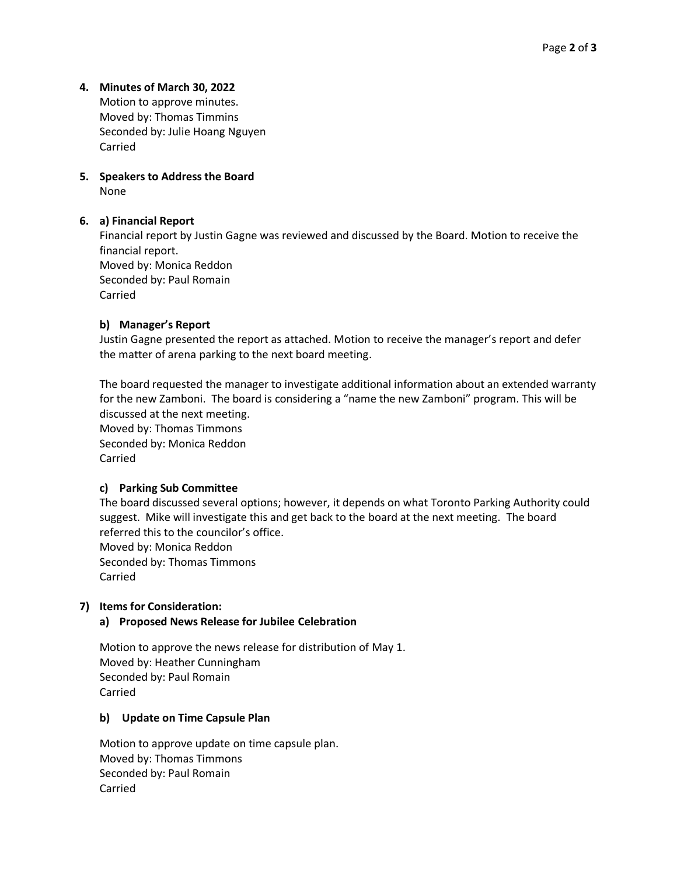### **4. Minutes of March 30, 2022**

Motion to approve minutes. Moved by: Thomas Timmins Seconded by: Julie Hoang Nguyen Carried

# **5. Speakers to Address the Board** None

### **6. a) Financial Report**

Financial report by Justin Gagne was reviewed and discussed by the Board. Motion to receive the financial report. Moved by: Monica Reddon Seconded by: Paul Romain Carried

### **b) Manager's Report**

Justin Gagne presented the report as attached. Motion to receive the manager's report and defer the matter of arena parking to the next board meeting.

The board requested the manager to investigate additional information about an extended warranty for the new Zamboni. The board is considering a "name the new Zamboni" program. This will be discussed at the next meeting. Moved by: Thomas Timmons Seconded by: Monica Reddon Carried

### **c) Parking Sub Committee**

The board discussed several options; however, it depends on what Toronto Parking Authority could suggest. Mike will investigate this and get back to the board at the next meeting. The board referred this to the councilor's office. Moved by: Monica Reddon Seconded by: Thomas Timmons

Carried

### **7) Items for Consideration:**

### **a) Proposed News Release for Jubilee Celebration**

Motion to approve the news release for distribution of May 1. Moved by: Heather Cunningham Seconded by: Paul Romain Carried

### **b) Update on Time Capsule Plan**

Motion to approve update on time capsule plan. Moved by: Thomas Timmons Seconded by: Paul Romain Carried